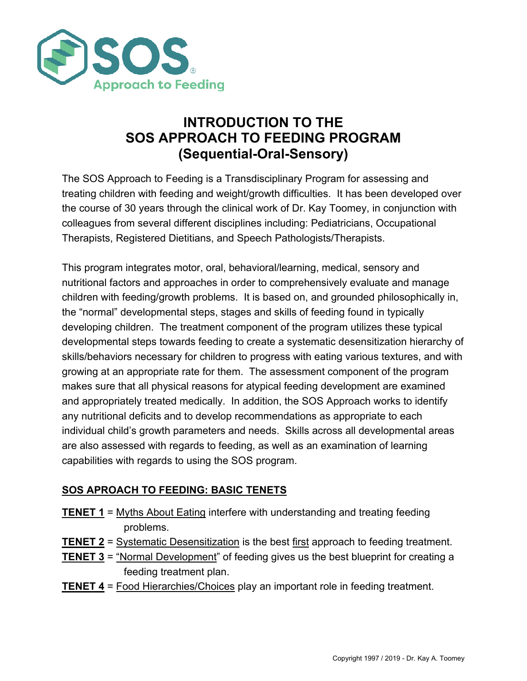

# **INTRODUCTION TO THE SOS APPROACH TO FEEDING PROGRAM (Sequential-Oral-Sensory)**

The SOS Approach to Feeding is a Transdisciplinary Program for assessing and treating children with feeding and weight/growth difficulties. It has been developed over the course of 30 years through the clinical work of Dr. Kay Toomey, in conjunction with colleagues from several different disciplines including: Pediatricians, Occupational Therapists, Registered Dietitians, and Speech Pathologists/Therapists.

This program integrates motor, oral, behavioral/learning, medical, sensory and nutritional factors and approaches in order to comprehensively evaluate and manage children with feeding/growth problems. It is based on, and grounded philosophically in, the "normal" developmental steps, stages and skills of feeding found in typically developing children. The treatment component of the program utilizes these typical developmental steps towards feeding to create a systematic desensitization hierarchy of skills/behaviors necessary for children to progress with eating various textures, and with growing at an appropriate rate for them. The assessment component of the program makes sure that all physical reasons for atypical feeding development are examined and appropriately treated medically. In addition, the SOS Approach works to identify any nutritional deficits and to develop recommendations as appropriate to each individual child's growth parameters and needs. Skills across all developmental areas are also assessed with regards to feeding, as well as an examination of learning capabilities with regards to using the SOS program.

## **SOS APROACH TO FEEDING: BASIC TENETS**

- **TENET 1** = Myths About Eating interfere with understanding and treating feeding problems.
- **TENET 2** = Systematic Desensitization is the best first approach to feeding treatment.
- **TENET 3** = "Normal Development" of feeding gives us the best blueprint for creating a feeding treatment plan.
- **TENET 4** = Food Hierarchies/Choices play an important role in feeding treatment.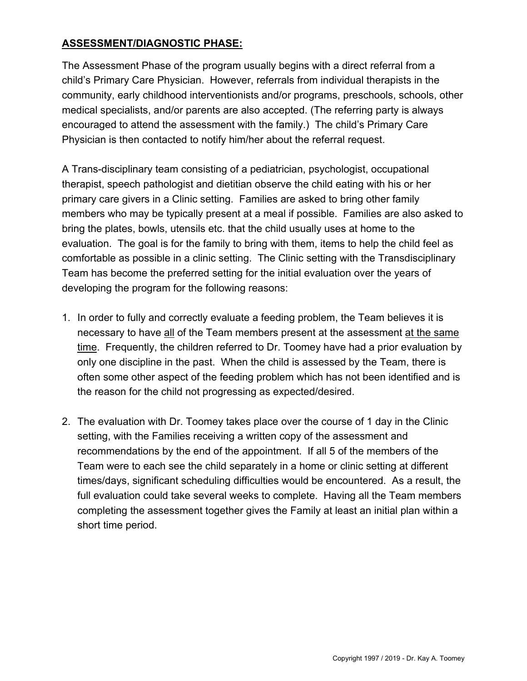#### **ASSESSMENT/DIAGNOSTIC PHASE:**

The Assessment Phase of the program usually begins with a direct referral from a child's Primary Care Physician. However, referrals from individual therapists in the community, early childhood interventionists and/or programs, preschools, schools, other medical specialists, and/or parents are also accepted. (The referring party is always encouraged to attend the assessment with the family.) The child's Primary Care Physician is then contacted to notify him/her about the referral request.

A Trans-disciplinary team consisting of a pediatrician, psychologist, occupational therapist, speech pathologist and dietitian observe the child eating with his or her primary care givers in a Clinic setting. Families are asked to bring other family members who may be typically present at a meal if possible. Families are also asked to bring the plates, bowls, utensils etc. that the child usually uses at home to the evaluation. The goal is for the family to bring with them, items to help the child feel as comfortable as possible in a clinic setting. The Clinic setting with the Transdisciplinary Team has become the preferred setting for the initial evaluation over the years of developing the program for the following reasons:

- 1. In order to fully and correctly evaluate a feeding problem, the Team believes it is necessary to have all of the Team members present at the assessment at the same time. Frequently, the children referred to Dr. Toomey have had a prior evaluation by only one discipline in the past. When the child is assessed by the Team, there is often some other aspect of the feeding problem which has not been identified and is the reason for the child not progressing as expected/desired.
- 2. The evaluation with Dr. Toomey takes place over the course of 1 day in the Clinic setting, with the Families receiving a written copy of the assessment and recommendations by the end of the appointment. If all 5 of the members of the Team were to each see the child separately in a home or clinic setting at different times/days, significant scheduling difficulties would be encountered. As a result, the full evaluation could take several weeks to complete. Having all the Team members completing the assessment together gives the Family at least an initial plan within a short time period.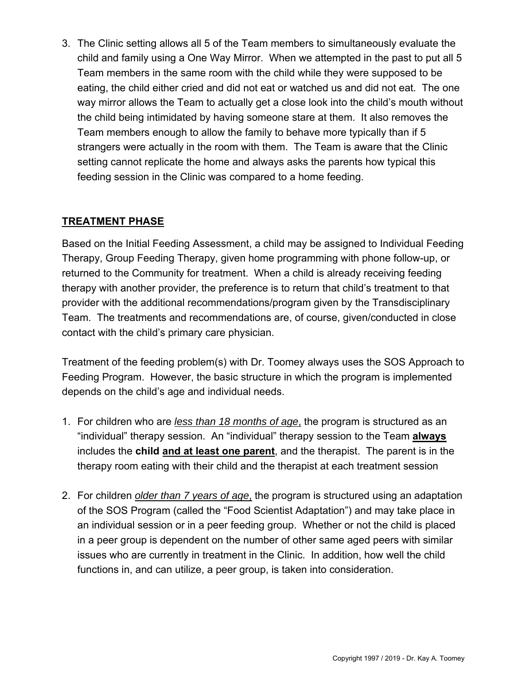3. The Clinic setting allows all 5 of the Team members to simultaneously evaluate the child and family using a One Way Mirror. When we attempted in the past to put all 5 Team members in the same room with the child while they were supposed to be eating, the child either cried and did not eat or watched us and did not eat. The one way mirror allows the Team to actually get a close look into the child's mouth without the child being intimidated by having someone stare at them. It also removes the Team members enough to allow the family to behave more typically than if 5 strangers were actually in the room with them. The Team is aware that the Clinic setting cannot replicate the home and always asks the parents how typical this feeding session in the Clinic was compared to a home feeding.

# **TREATMENT PHASE**

Based on the Initial Feeding Assessment, a child may be assigned to Individual Feeding Therapy, Group Feeding Therapy, given home programming with phone follow-up, or returned to the Community for treatment. When a child is already receiving feeding therapy with another provider, the preference is to return that child's treatment to that provider with the additional recommendations/program given by the Transdisciplinary Team. The treatments and recommendations are, of course, given/conducted in close contact with the child's primary care physician.

Treatment of the feeding problem(s) with Dr. Toomey always uses the SOS Approach to Feeding Program. However, the basic structure in which the program is implemented depends on the child's age and individual needs.

- 1. For children who are *less than 18 months of age*, the program is structured as an "individual" therapy session. An "individual" therapy session to the Team **always** includes the **child and at least one parent**, and the therapist. The parent is in the therapy room eating with their child and the therapist at each treatment session
- 2. For children *older than 7 years of age*, the program is structured using an adaptation of the SOS Program (called the "Food Scientist Adaptation") and may take place in an individual session or in a peer feeding group. Whether or not the child is placed in a peer group is dependent on the number of other same aged peers with similar issues who are currently in treatment in the Clinic. In addition, how well the child functions in, and can utilize, a peer group, is taken into consideration.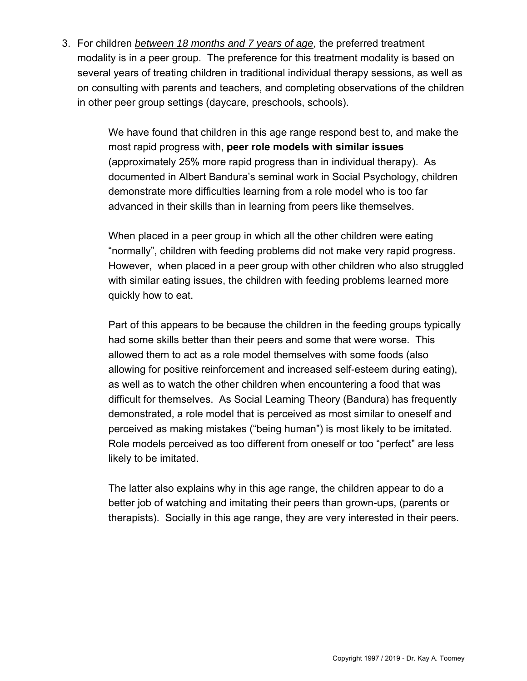3. For children *between 18 months and 7 years of age*, the preferred treatment modality is in a peer group. The preference for this treatment modality is based on several years of treating children in traditional individual therapy sessions, as well as on consulting with parents and teachers, and completing observations of the children in other peer group settings (daycare, preschools, schools).

> We have found that children in this age range respond best to, and make the most rapid progress with, **peer role models with similar issues**  (approximately 25% more rapid progress than in individual therapy). As documented in Albert Bandura's seminal work in Social Psychology, children demonstrate more difficulties learning from a role model who is too far advanced in their skills than in learning from peers like themselves.

When placed in a peer group in which all the other children were eating "normally", children with feeding problems did not make very rapid progress. However, when placed in a peer group with other children who also struggled with similar eating issues, the children with feeding problems learned more quickly how to eat.

Part of this appears to be because the children in the feeding groups typically had some skills better than their peers and some that were worse. This allowed them to act as a role model themselves with some foods (also allowing for positive reinforcement and increased self-esteem during eating), as well as to watch the other children when encountering a food that was difficult for themselves. As Social Learning Theory (Bandura) has frequently demonstrated, a role model that is perceived as most similar to oneself and perceived as making mistakes ("being human") is most likely to be imitated. Role models perceived as too different from oneself or too "perfect" are less likely to be imitated.

The latter also explains why in this age range, the children appear to do a better job of watching and imitating their peers than grown-ups, (parents or therapists). Socially in this age range, they are very interested in their peers.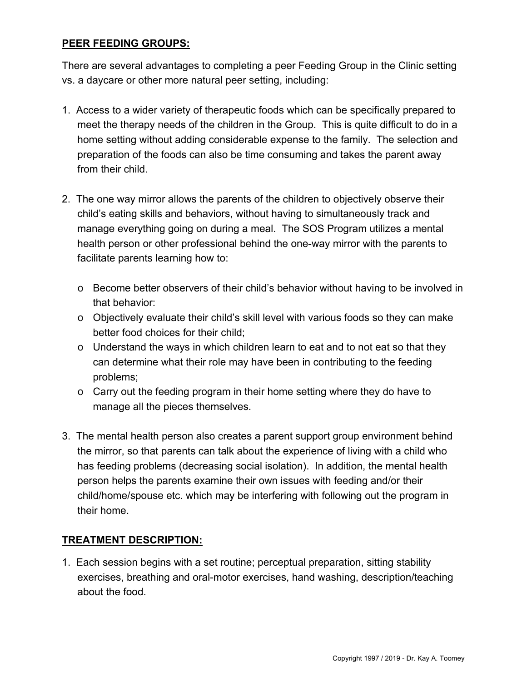#### **PEER FEEDING GROUPS:**

There are several advantages to completing a peer Feeding Group in the Clinic setting vs. a daycare or other more natural peer setting, including:

- 1. Access to a wider variety of therapeutic foods which can be specifically prepared to meet the therapy needs of the children in the Group. This is quite difficult to do in a home setting without adding considerable expense to the family. The selection and preparation of the foods can also be time consuming and takes the parent away from their child.
- 2. The one way mirror allows the parents of the children to objectively observe their child's eating skills and behaviors, without having to simultaneously track and manage everything going on during a meal. The SOS Program utilizes a mental health person or other professional behind the one-way mirror with the parents to facilitate parents learning how to:
	- o Become better observers of their child's behavior without having to be involved in that behavior:
	- o Objectively evaluate their child's skill level with various foods so they can make better food choices for their child;
	- $\circ$  Understand the ways in which children learn to eat and to not eat so that they can determine what their role may have been in contributing to the feeding problems;
	- o Carry out the feeding program in their home setting where they do have to manage all the pieces themselves.
- 3. The mental health person also creates a parent support group environment behind the mirror, so that parents can talk about the experience of living with a child who has feeding problems (decreasing social isolation). In addition, the mental health person helps the parents examine their own issues with feeding and/or their child/home/spouse etc. which may be interfering with following out the program in their home.

#### **TREATMENT DESCRIPTION:**

1. Each session begins with a set routine; perceptual preparation, sitting stability exercises, breathing and oral-motor exercises, hand washing, description/teaching about the food.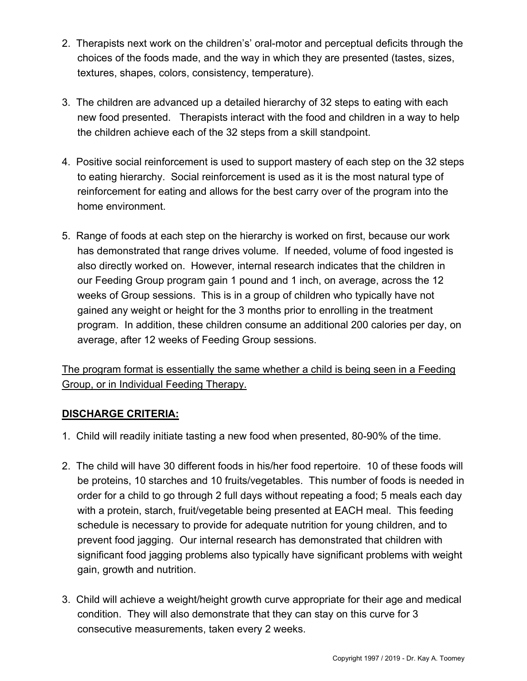- 2. Therapists next work on the children's' oral-motor and perceptual deficits through the choices of the foods made, and the way in which they are presented (tastes, sizes, textures, shapes, colors, consistency, temperature).
- 3. The children are advanced up a detailed hierarchy of 32 steps to eating with each new food presented. Therapists interact with the food and children in a way to help the children achieve each of the 32 steps from a skill standpoint.
- 4. Positive social reinforcement is used to support mastery of each step on the 32 steps to eating hierarchy. Social reinforcement is used as it is the most natural type of reinforcement for eating and allows for the best carry over of the program into the home environment.
- 5. Range of foods at each step on the hierarchy is worked on first, because our work has demonstrated that range drives volume. If needed, volume of food ingested is also directly worked on. However, internal research indicates that the children in our Feeding Group program gain 1 pound and 1 inch, on average, across the 12 weeks of Group sessions. This is in a group of children who typically have not gained any weight or height for the 3 months prior to enrolling in the treatment program. In addition, these children consume an additional 200 calories per day, on average, after 12 weeks of Feeding Group sessions.

The program format is essentially the same whether a child is being seen in a Feeding Group, or in Individual Feeding Therapy.

## **DISCHARGE CRITERIA:**

- 1. Child will readily initiate tasting a new food when presented, 80-90% of the time.
- 2. The child will have 30 different foods in his/her food repertoire. 10 of these foods will be proteins, 10 starches and 10 fruits/vegetables. This number of foods is needed in order for a child to go through 2 full days without repeating a food; 5 meals each day with a protein, starch, fruit/vegetable being presented at EACH meal. This feeding schedule is necessary to provide for adequate nutrition for young children, and to prevent food jagging. Our internal research has demonstrated that children with significant food jagging problems also typically have significant problems with weight gain, growth and nutrition.
- 3. Child will achieve a weight/height growth curve appropriate for their age and medical condition. They will also demonstrate that they can stay on this curve for 3 consecutive measurements, taken every 2 weeks.